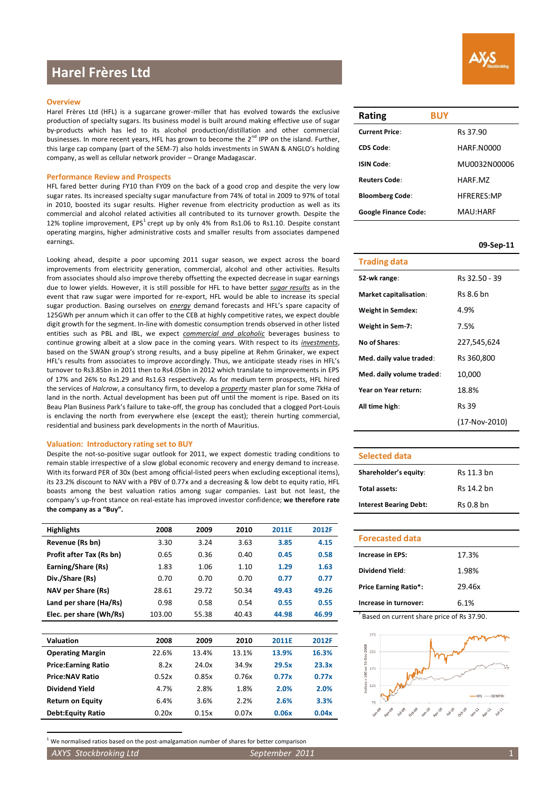# **Harel Frères Ltd**

### **Overview**

Harel Frères Ltd (HFL) is a sugarcane grower-miller that has evolved towards the exclusive production of specialty sugars. Its business model is built around making effective use of sugar by-products which has led to its alcohol production/distillation and other commercial businesses. In more recent years, HFL has grown to become the  $2^{nd}$  IPP on the island. Further, this large cap company (part of the SEM-7) also holds investments in SWAN & ANGLO's holding company, as well as cellular network provider – Orange Madagascar.

### **Performance Review and Prospects**

HFL fared better during FY10 than FY09 on the back of a good crop and despite the very low sugar rates. Its increased specialty sugar manufacture from 74% of total in 2009 to 97% of total in 2010, boosted its sugar results. Higher revenue from electricity production as well as its commercial and alcohol related activities all contributed to its turnover growth. Despite the 12% topline improvement, EPS<sup>1</sup> crept up by only 4% from Rs1.06 to Rs1.10. Despite constant operating margins, higher administrative costs and smaller results from associates dampened earnings.

Looking ahead, despite a poor upcoming 2011 sugar season, we expect across the board improvements from electricity generation, commercial, alcohol and other activities. Results from associates should also improve thereby offsetting the expected decrease in sugar earnings due to lower yields. However, it is still possible for HFL to have better *sugar results* as in the event that raw sugar were imported for re-export, HFL would be able to increase its special sugar production. Basing ourselves on *energy* demand forecasts and HFL's spare capacity of 125GWh per annum which it can offer to the CEB at highly competitive rates, we expect double digit growth for the segment. In-line with domestic consumption trends observed in other listed entities such as PBL and IBL, we expect *commercial and alcoholic* beverages business to continue growing albeit at a slow pace in the coming years. With respect to its *investments*, based on the SWAN group's strong results, and a busy pipeline at Rehm Grinaker, we expect HFL's results from associates to improve accordingly. Thus, we anticipate steady rises in HFL's turnover to Rs3.85bn in 2011 then to Rs4.05bn in 2012 which translate to improvements in EPS of 17% and 26% to Rs1.29 and Rs1.63 respectively. As for medium term prospects, HFL hired the services of *Halcrow*, a consultancy firm, to develop a *property* master plan for some 7kHa of land in the north. Actual development has been put off until the moment is ripe. Based on its Beau Plan Business Park's failure to take-off, the group has concluded that a clogged Port-Louis is enclaving the north from everywhere else (except the east); therein hurting commercial, residential and business park developments in the north of Mauritius.

#### **Valuation: Introductory rating set to BUY**

Despite the not-so-positive sugar outlook for 2011, we expect domestic trading conditions to remain stable irrespective of a slow global economic recovery and energy demand to increase. With its forward PER of 30x (best among official-listed peers when excluding exceptional items), its 23.2% discount to NAV with a PBV of 0.77x and a decreasing & low debt to equity ratio, HFL boasts among the best valuation ratios among sugar companies. Last but not least, the company's up-front stance on real-estate has improved investor confidence; **we therefore rate the company as a "Buy".**

| <b>Highlights</b>        | 2008   | 2009  | 2010  | 2011E | 2012F |
|--------------------------|--------|-------|-------|-------|-------|
| Revenue (Rs bn)          | 3.30   | 3.24  | 3.63  | 3.85  | 4.15  |
| Profit after Tax (Rs bn) | 0.65   | 0.36  | 0.40  | 0.45  | 0.58  |
| Earning/Share (Rs)       | 1.83   | 1.06  | 1.10  | 1.29  | 1.63  |
| Div./Share (Rs)          | 0.70   | 0.70  | 0.70  | 0.77  | 0.77  |
| NAV per Share (Rs)       | 28.61  | 29.72 | 50.34 | 49.43 | 49.26 |
| Land per share (Ha/Rs)   | 0.98   | 0.58  | 0.54  | 0.55  | 0.55  |
| Elec. per share (Wh/Rs)  | 103.00 | 55.38 | 40.43 | 44.98 | 46.99 |

| Valuation                  | 2008  | 2009  | 2010  | 2011E | 2012F |
|----------------------------|-------|-------|-------|-------|-------|
| <b>Operating Margin</b>    | 22.6% | 13.4% | 13.1% | 13.9% | 16.3% |
| <b>Price:Earning Ratio</b> | 8.2x  | 24.0x | 34.9x | 29.5x | 23.3x |
| <b>Price:NAV Ratio</b>     | 0.52x | 0.85x | 0.76x | 0.77x | 0.77x |
| Dividend Yield             | 4.7%  | 2.8%  | 1.8%  | 2.0%  | 2.0%  |
| <b>Return on Equity</b>    | 6.4%  | 3.6%  | 2.2%  | 2.6%  | 3.3%  |
| <b>Debt:Equity Ratio</b>   | 0.20x | 0.15x | 0.07x | 0.06x | 0.04x |

 $1$  We normalised ratios based on the post-amalgamation number of shares for better comparison

*AXYS Stockbroking Ltd September 2011* 

 $\overline{a}$ 



| Rating                      | <b>BUY</b> |                   |
|-----------------------------|------------|-------------------|
| <b>Current Price:</b>       | Rs 37.90   |                   |
| CDS Code:                   |            | HARF.N0000        |
| ISIN Code:                  |            | MU0032N00006      |
| <b>Reuters Code:</b>        | HARF M7    |                   |
| <b>Bloomberg Code:</b>      |            | <b>HFRFRFS:MP</b> |
| <b>Google Finance Code:</b> | MAU:HARF   |                   |

### **09-Sep-11**

| Trading data                  |                  |
|-------------------------------|------------------|
| 52-wk range:                  | Rs 32.50 - 39    |
| <b>Market capitalisation:</b> | <b>Rs 8.6 bn</b> |
| <b>Weight in Semdex:</b>      | 4.9%             |
| Weight in Sem-7:              | 7.5%             |
| <b>No of Shares:</b>          | 227,545,624      |
| Med. daily value traded:      | Rs 360,800       |
| Med. daily volume traded:     | 10,000           |
| Year on Year return:          | 18.8%            |
| All time high:                | <b>Rs 39</b>     |
|                               | (17-Nov-2010)    |

### **Selected data**

| Shareholder's equity:         | Rs 11.3 bn  |
|-------------------------------|-------------|
| Total assets:                 | Rs 14.2 bn  |
| <b>Interest Bearing Debt:</b> | $Rs$ 0.8 bn |

| <b>Forecasted data</b>       |        |
|------------------------------|--------|
| <b>Increase in EPS:</b>      | 17.3%  |
| Dividend Yield:              | 1.98%  |
| <b>Price Earning Ratio*:</b> | 29.46x |
| Increase in turnover:        | 6.1%   |

† Based on current share price of Rs 37.90.